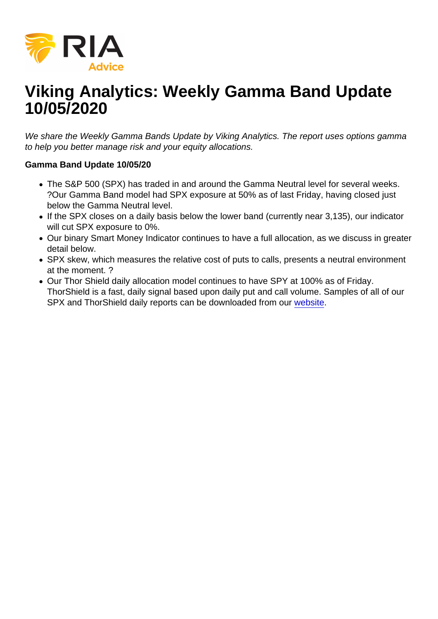# Viking Analytics: Weekly Gamma Band Update 10/05/2020

We share the Weekly Gamma Bands Update by Viking Analytics. The report uses options gamma to help you better manage risk and your equity allocations.

Gamma Band Update 10/05/20

- The S&P 500 (SPX) has traded in and around the Gamma Neutral level for several weeks. ?Our Gamma Band model had SPX exposure at 50% as of last Friday, having closed just below the Gamma Neutral level.
- If the SPX closes on a daily basis below the lower band (currently near 3,135), our indicator will cut SPX exposure to 0%.
- Our binary Smart Money Indicator continues to have a full allocation, as we discuss in greater detail below.
- SPX skew, which measures the relative cost of puts to calls, presents a neutral environment at the moment. ?
- Our Thor Shield daily allocation model continues to have SPY at 100% as of Friday. ThorShield is a fast, daily signal based upon daily put and call volume. Samples of all of our SPX and ThorShield daily reports can be downloaded from our [website.](https://viking-analytics.com/)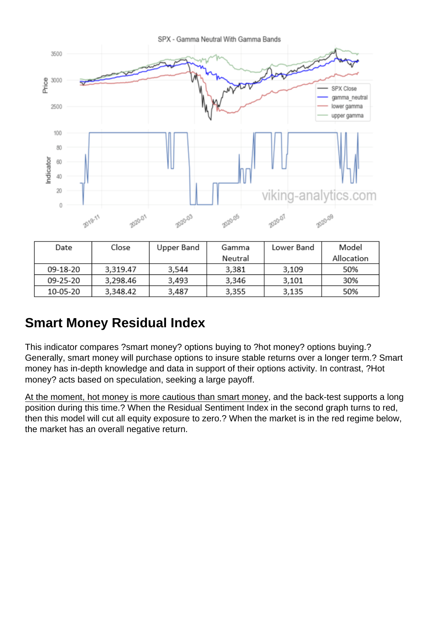#### Smart Money Residual Index

This indicator compares ?smart money? options buying to ?hot money? options buying.? Generally, smart money will purchase options to insure stable returns over a longer term.? Smart money has in-depth knowledge and data in support of their options activity. In contrast, ?Hot money? acts based on speculation, seeking a large payoff.

At the moment, hot money is more cautious than smart money, and the back-test supports a long position during this time.? When the Residual Sentiment Index in the second graph turns to red, then this model will cut all equity exposure to zero.? When the market is in the red regime below, the market has an overall negative return.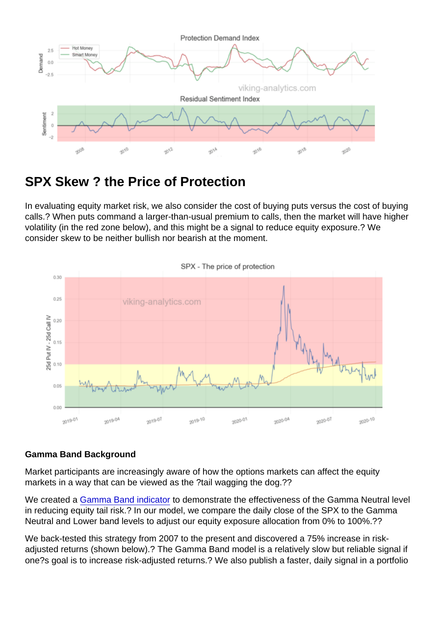## SPX Skew ? the Price of Protection

In evaluating equity market risk, we also consider the cost of buying puts versus the cost of buying calls.? When puts command a larger-than-usual premium to calls, then the market will have higher volatility (in the red zone below), and this might be a signal to reduce equity exposure.? We consider skew to be neither bullish nor bearish at the moment.

#### Gamma Band Background

Market participants are increasingly aware of how the options markets can affect the equity markets in a way that can be viewed as the ?tail wagging the dog.??

We created a [Gamma Band indicator](https://realinvestmentadvice.com/eric-lytikainen-gamma-flips-and-regime-changes/) to demonstrate the effectiveness of the Gamma Neutral level in reducing equity tail risk.? In our model, we compare the daily close of the SPX to the Gamma Neutral and Lower band levels to adjust our equity exposure allocation from 0% to 100%.??

We back-tested this strategy from 2007 to the present and discovered a 75% increase in riskadjusted returns (shown below).? The Gamma Band model is a relatively slow but reliable signal if one?s goal is to increase risk-adjusted returns.? We also publish a faster, daily signal in a portfolio